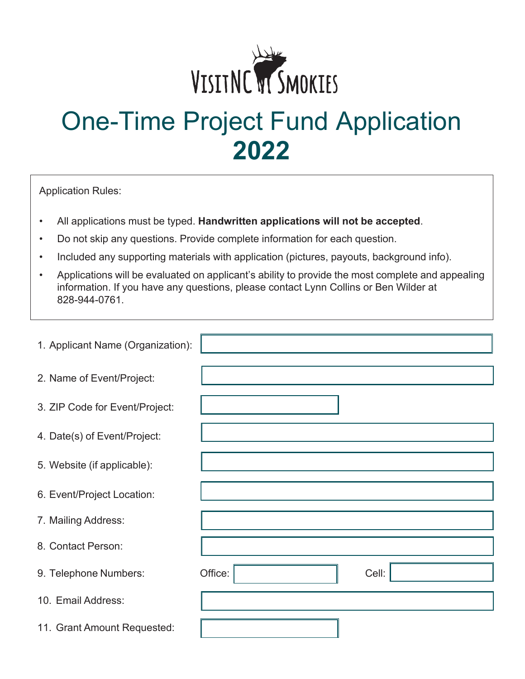

# One-Time Project Fund Application **2022**

Application Rules:

- All applications must be typed. **Handwritten applications will not be accepted**.
- Do not skip any questions. Provide complete information for each question.
- Included any supporting materials with application (pictures, payouts, background info).
- Applications will be evaluated on applicant's ability to provide the most complete and appealing information. If you have any questions, please contact Lynn Collins or Ben Wilder at 828-944-0761.

| 1. Applicant Name (Organization): |                  |
|-----------------------------------|------------------|
| 2. Name of Event/Project:         |                  |
| 3. ZIP Code for Event/Project:    |                  |
| 4. Date(s) of Event/Project:      |                  |
| 5. Website (if applicable):       |                  |
| 6. Event/Project Location:        |                  |
| 7. Mailing Address:               |                  |
| 8. Contact Person:                |                  |
| 9. Telephone Numbers:             | Office:<br>Cell: |
| 10. Email Address:                |                  |
| 11. Grant Amount Requested:       |                  |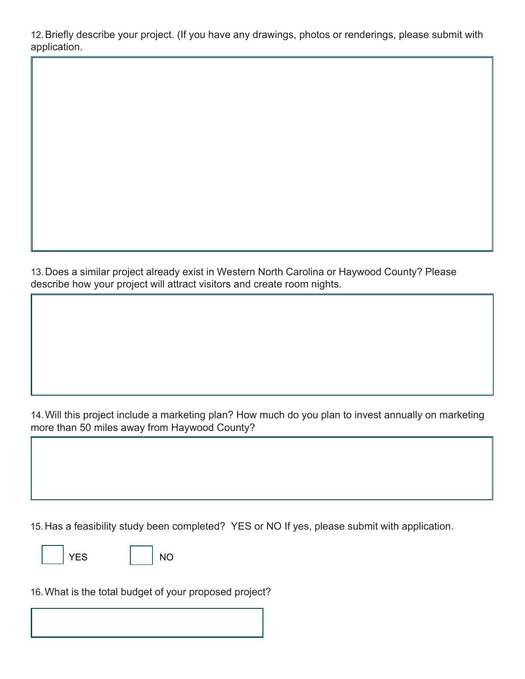12.Briefly describe your project. (If you have any drawings, photos or renderings, please submit with application.

13.Does a similar project already exist in Western North Carolina or Haywood County? Please describe how your project will attract visitors and create room nights.

14.Will this project include a marketing plan? How much do you plan to invest annually on marketing more than 50 miles away from Haywood County?

15.Has a feasibility study been completed? YES or NO If yes, please submit with application.

YES | NO

16.What is the total budget of your proposed project?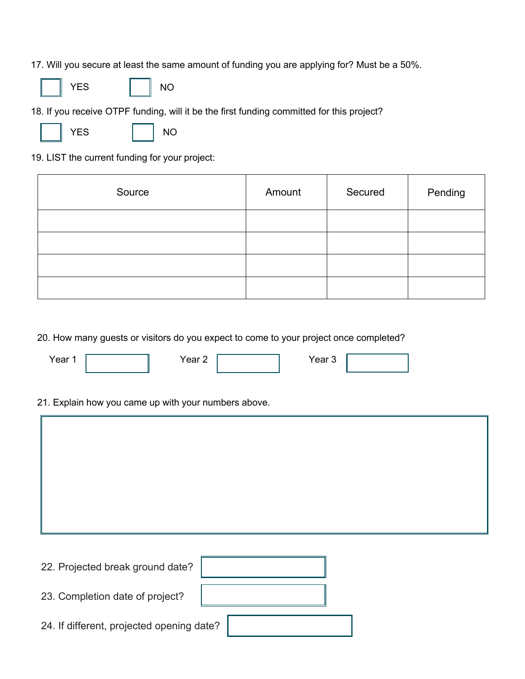17. Will you secure at least the same amount of funding you are applying for? Must be a 50%.





18. If you receive OTPF funding, will it be the first funding committed for this project?



NO

19. LIST the current funding for your project:

| Source | Amount | Secured | Pending |
|--------|--------|---------|---------|
|        |        |         |         |
|        |        |         |         |
|        |        |         |         |
|        |        |         |         |

20. How many guests or visitors do you expect to come to your project once completed?

| Year 1 | Year 2                                               | Year 3 |  |
|--------|------------------------------------------------------|--------|--|
|        | 21. Explain how you came up with your numbers above. |        |  |
|        |                                                      |        |  |
|        |                                                      |        |  |
|        |                                                      |        |  |
|        |                                                      |        |  |

22. Projected break ground date? 23. Completion date of project? 24. If different, projected opening date?